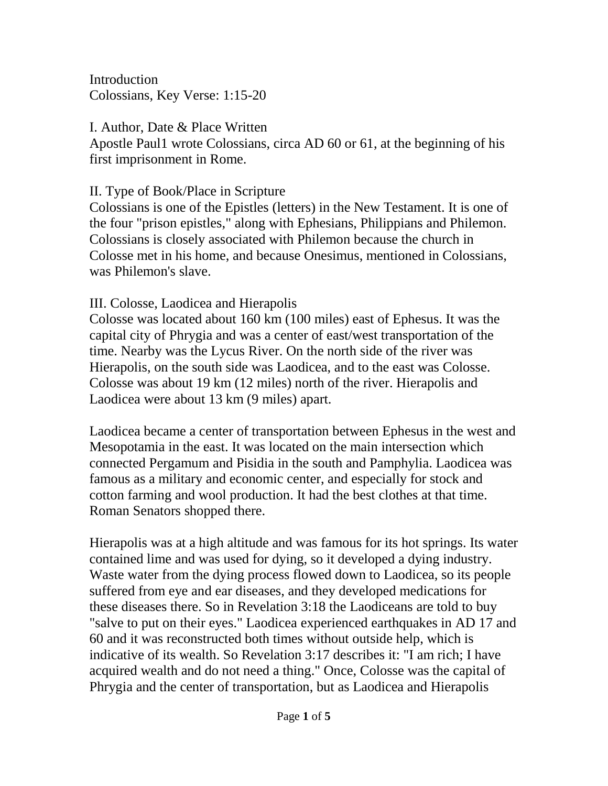Introduction Colossians, Key Verse: 1:15-20

I. Author, Date & Place Written Apostle Paul1 wrote Colossians, circa AD 60 or 61, at the beginning of his first imprisonment in Rome.

II. Type of Book/Place in Scripture

Colossians is one of the Epistles (letters) in the New Testament. It is one of the four "prison epistles," along with Ephesians, Philippians and Philemon. Colossians is closely associated with Philemon because the church in Colosse met in his home, and because Onesimus, mentioned in Colossians, was Philemon's slave.

III. Colosse, Laodicea and Hierapolis

Colosse was located about 160 km (100 miles) east of Ephesus. It was the capital city of Phrygia and was a center of east/west transportation of the time. Nearby was the Lycus River. On the north side of the river was Hierapolis, on the south side was Laodicea, and to the east was Colosse. Colosse was about 19 km (12 miles) north of the river. Hierapolis and Laodicea were about 13 km (9 miles) apart.

Laodicea became a center of transportation between Ephesus in the west and Mesopotamia in the east. It was located on the main intersection which connected Pergamum and Pisidia in the south and Pamphylia. Laodicea was famous as a military and economic center, and especially for stock and cotton farming and wool production. It had the best clothes at that time. Roman Senators shopped there.

Hierapolis was at a high altitude and was famous for its hot springs. Its water contained lime and was used for dying, so it developed a dying industry. Waste water from the dying process flowed down to Laodicea, so its people suffered from eye and ear diseases, and they developed medications for these diseases there. So in Revelation 3:18 the Laodiceans are told to buy "salve to put on their eyes." Laodicea experienced earthquakes in AD 17 and 60 and it was reconstructed both times without outside help, which is indicative of its wealth. So Revelation 3:17 describes it: "I am rich; I have acquired wealth and do not need a thing." Once, Colosse was the capital of Phrygia and the center of transportation, but as Laodicea and Hierapolis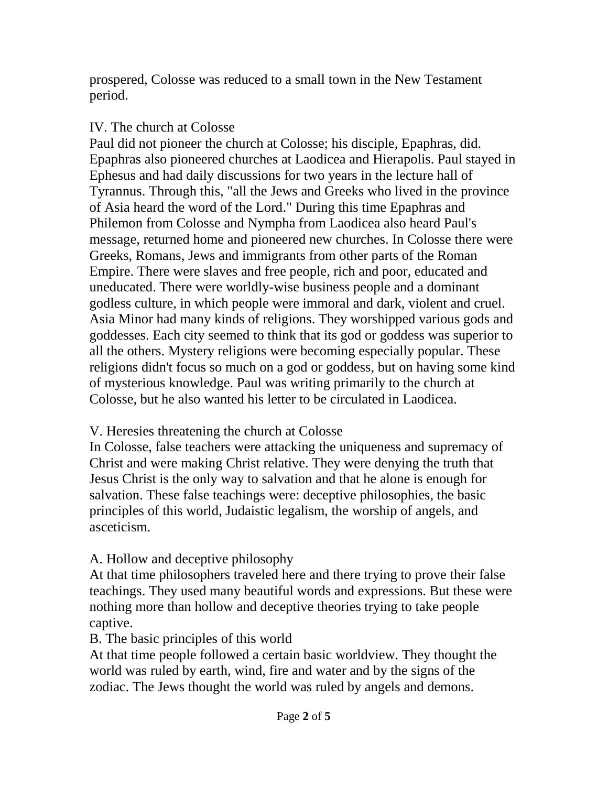prospered, Colosse was reduced to a small town in the New Testament period.

#### IV. The church at Colosse

Paul did not pioneer the church at Colosse; his disciple, Epaphras, did. Epaphras also pioneered churches at Laodicea and Hierapolis. Paul stayed in Ephesus and had daily discussions for two years in the lecture hall of Tyrannus. Through this, "all the Jews and Greeks who lived in the province of Asia heard the word of the Lord." During this time Epaphras and Philemon from Colosse and Nympha from Laodicea also heard Paul's message, returned home and pioneered new churches. In Colosse there were Greeks, Romans, Jews and immigrants from other parts of the Roman Empire. There were slaves and free people, rich and poor, educated and uneducated. There were worldly-wise business people and a dominant godless culture, in which people were immoral and dark, violent and cruel. Asia Minor had many kinds of religions. They worshipped various gods and goddesses. Each city seemed to think that its god or goddess was superior to all the others. Mystery religions were becoming especially popular. These religions didn't focus so much on a god or goddess, but on having some kind of mysterious knowledge. Paul was writing primarily to the church at Colosse, but he also wanted his letter to be circulated in Laodicea.

# V. Heresies threatening the church at Colosse

In Colosse, false teachers were attacking the uniqueness and supremacy of Christ and were making Christ relative. They were denying the truth that Jesus Christ is the only way to salvation and that he alone is enough for salvation. These false teachings were: deceptive philosophies, the basic principles of this world, Judaistic legalism, the worship of angels, and asceticism.

# A. Hollow and deceptive philosophy

At that time philosophers traveled here and there trying to prove their false teachings. They used many beautiful words and expressions. But these were nothing more than hollow and deceptive theories trying to take people captive.

# B. The basic principles of this world

At that time people followed a certain basic worldview. They thought the world was ruled by earth, wind, fire and water and by the signs of the zodiac. The Jews thought the world was ruled by angels and demons.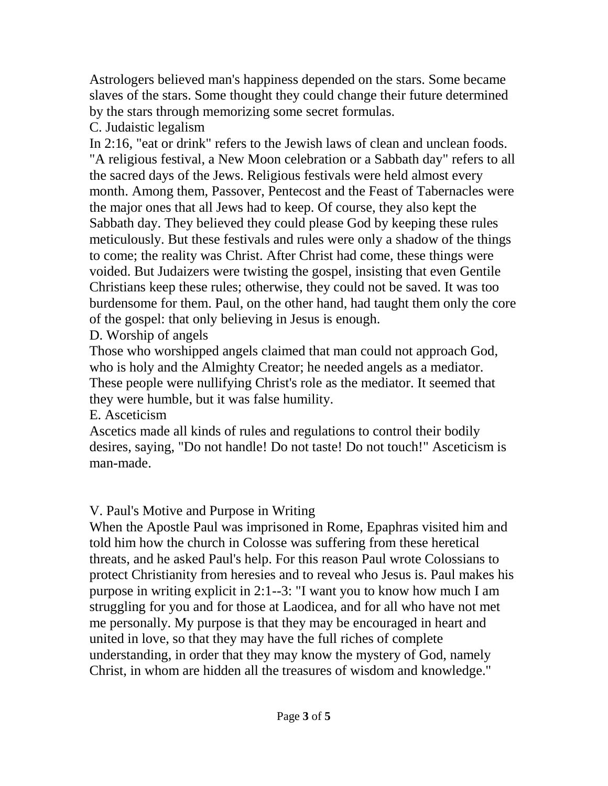Astrologers believed man's happiness depended on the stars. Some became slaves of the stars. Some thought they could change their future determined by the stars through memorizing some secret formulas.

C. Judaistic legalism

In 2:16, "eat or drink" refers to the Jewish laws of clean and unclean foods. "A religious festival, a New Moon celebration or a Sabbath day" refers to all the sacred days of the Jews. Religious festivals were held almost every month. Among them, Passover, Pentecost and the Feast of Tabernacles were the major ones that all Jews had to keep. Of course, they also kept the Sabbath day. They believed they could please God by keeping these rules meticulously. But these festivals and rules were only a shadow of the things to come; the reality was Christ. After Christ had come, these things were voided. But Judaizers were twisting the gospel, insisting that even Gentile Christians keep these rules; otherwise, they could not be saved. It was too burdensome for them. Paul, on the other hand, had taught them only the core of the gospel: that only believing in Jesus is enough.

D. Worship of angels

Those who worshipped angels claimed that man could not approach God, who is holy and the Almighty Creator; he needed angels as a mediator. These people were nullifying Christ's role as the mediator. It seemed that they were humble, but it was false humility.

E. Asceticism

Ascetics made all kinds of rules and regulations to control their bodily desires, saying, "Do not handle! Do not taste! Do not touch!" Asceticism is man-made.

V. Paul's Motive and Purpose in Writing

When the Apostle Paul was imprisoned in Rome, Epaphras visited him and told him how the church in Colosse was suffering from these heretical threats, and he asked Paul's help. For this reason Paul wrote Colossians to protect Christianity from heresies and to reveal who Jesus is. Paul makes his purpose in writing explicit in 2:1--3: "I want you to know how much I am struggling for you and for those at Laodicea, and for all who have not met me personally. My purpose is that they may be encouraged in heart and united in love, so that they may have the full riches of complete understanding, in order that they may know the mystery of God, namely Christ, in whom are hidden all the treasures of wisdom and knowledge."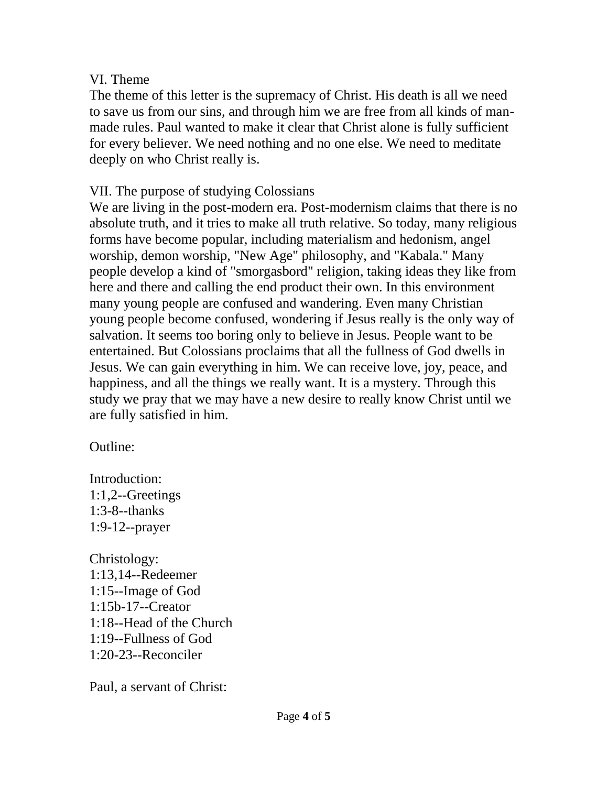#### VI. Theme

The theme of this letter is the supremacy of Christ. His death is all we need to save us from our sins, and through him we are free from all kinds of manmade rules. Paul wanted to make it clear that Christ alone is fully sufficient for every believer. We need nothing and no one else. We need to meditate deeply on who Christ really is.

#### VII. The purpose of studying Colossians

We are living in the post-modern era. Post-modernism claims that there is no absolute truth, and it tries to make all truth relative. So today, many religious forms have become popular, including materialism and hedonism, angel worship, demon worship, "New Age" philosophy, and "Kabala." Many people develop a kind of "smorgasbord" religion, taking ideas they like from here and there and calling the end product their own. In this environment many young people are confused and wandering. Even many Christian young people become confused, wondering if Jesus really is the only way of salvation. It seems too boring only to believe in Jesus. People want to be entertained. But Colossians proclaims that all the fullness of God dwells in Jesus. We can gain everything in him. We can receive love, joy, peace, and happiness, and all the things we really want. It is a mystery. Through this study we pray that we may have a new desire to really know Christ until we are fully satisfied in him.

Outline:

Introduction: 1:1,2--Greetings 1:3-8--thanks 1:9-12--prayer

Christology: 1:13,14--Redeemer 1:15--Image of God 1:15b-17--Creator 1:18--Head of the Church 1:19--Fullness of God 1:20-23--Reconciler

Paul, a servant of Christ: